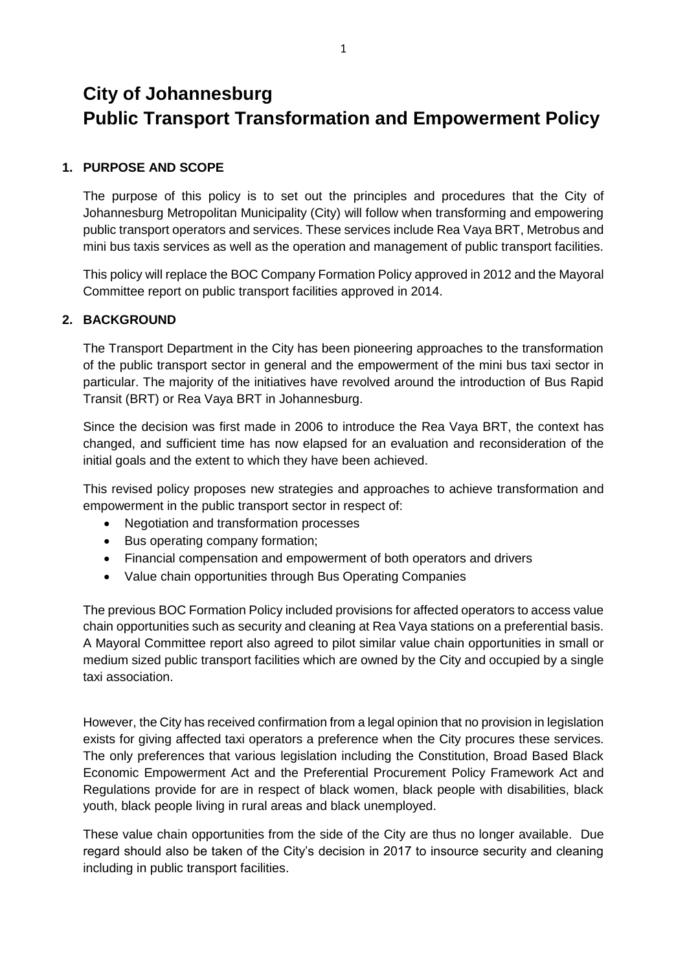# **City of Johannesburg Public Transport Transformation and Empowerment Policy**

## **1. PURPOSE AND SCOPE**

The purpose of this policy is to set out the principles and procedures that the City of Johannesburg Metropolitan Municipality (City) will follow when transforming and empowering public transport operators and services. These services include Rea Vaya BRT, Metrobus and mini bus taxis services as well as the operation and management of public transport facilities.

This policy will replace the BOC Company Formation Policy approved in 2012 and the Mayoral Committee report on public transport facilities approved in 2014.

### **2. BACKGROUND**

The Transport Department in the City has been pioneering approaches to the transformation of the public transport sector in general and the empowerment of the mini bus taxi sector in particular. The majority of the initiatives have revolved around the introduction of Bus Rapid Transit (BRT) or Rea Vaya BRT in Johannesburg.

Since the decision was first made in 2006 to introduce the Rea Vaya BRT, the context has changed, and sufficient time has now elapsed for an evaluation and reconsideration of the initial goals and the extent to which they have been achieved.

This revised policy proposes new strategies and approaches to achieve transformation and empowerment in the public transport sector in respect of:

- Negotiation and transformation processes
- Bus operating company formation;
- Financial compensation and empowerment of both operators and drivers
- Value chain opportunities through Bus Operating Companies

The previous BOC Formation Policy included provisions for affected operators to access value chain opportunities such as security and cleaning at Rea Vaya stations on a preferential basis. A Mayoral Committee report also agreed to pilot similar value chain opportunities in small or medium sized public transport facilities which are owned by the City and occupied by a single taxi association.

However, the City has received confirmation from a legal opinion that no provision in legislation exists for giving affected taxi operators a preference when the City procures these services. The only preferences that various legislation including the Constitution, Broad Based Black Economic Empowerment Act and the Preferential Procurement Policy Framework Act and Regulations provide for are in respect of black women, black people with disabilities, black youth, black people living in rural areas and black unemployed.

These value chain opportunities from the side of the City are thus no longer available. Due regard should also be taken of the City's decision in 2017 to insource security and cleaning including in public transport facilities.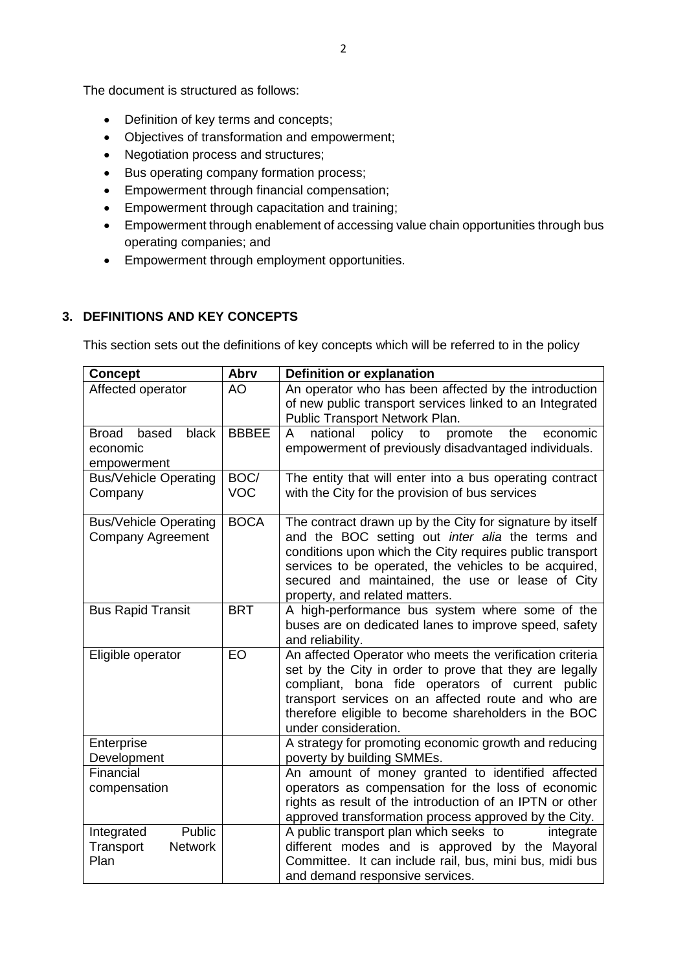The document is structured as follows:

- Definition of key terms and concepts;
- Objectives of transformation and empowerment;
- Negotiation process and structures;
- Bus operating company formation process;
- **Empowerment through financial compensation;**
- Empowerment through capacitation and training;
- Empowerment through enablement of accessing value chain opportunities through bus operating companies; and
- Empowerment through employment opportunities.

### **3. DEFINITIONS AND KEY CONCEPTS**

This section sets out the definitions of key concepts which will be referred to in the policy

| <b>Concept</b>                                              | Abrv               | Definition or explanation                                                                                                                                                                                                                                                                                                |
|-------------------------------------------------------------|--------------------|--------------------------------------------------------------------------------------------------------------------------------------------------------------------------------------------------------------------------------------------------------------------------------------------------------------------------|
| Affected operator                                           | <b>AO</b>          | An operator who has been affected by the introduction<br>of new public transport services linked to an Integrated<br>Public Transport Network Plan.                                                                                                                                                                      |
| black<br><b>Broad</b><br>based<br>economic<br>empowerment   | <b>BBBEE</b>       | national policy to<br>promote<br>A<br>the<br>economic<br>empowerment of previously disadvantaged individuals.                                                                                                                                                                                                            |
| <b>Bus/Vehicle Operating</b><br>Company                     | BOC/<br><b>VOC</b> | The entity that will enter into a bus operating contract<br>with the City for the provision of bus services                                                                                                                                                                                                              |
| <b>Bus/Vehicle Operating</b><br><b>Company Agreement</b>    | <b>BOCA</b>        | The contract drawn up by the City for signature by itself<br>and the BOC setting out inter alia the terms and<br>conditions upon which the City requires public transport<br>services to be operated, the vehicles to be acquired,<br>secured and maintained, the use or lease of City<br>property, and related matters. |
| <b>Bus Rapid Transit</b>                                    | <b>BRT</b>         | A high-performance bus system where some of the<br>buses are on dedicated lanes to improve speed, safety<br>and reliability.                                                                                                                                                                                             |
| Eligible operator                                           | EO                 | An affected Operator who meets the verification criteria<br>set by the City in order to prove that they are legally<br>compliant, bona fide operators of current public<br>transport services on an affected route and who are<br>therefore eligible to become shareholders in the BOC<br>under consideration.           |
| Enterprise<br>Development                                   |                    | A strategy for promoting economic growth and reducing<br>poverty by building SMMEs.                                                                                                                                                                                                                                      |
| Financial<br>compensation                                   |                    | An amount of money granted to identified affected<br>operators as compensation for the loss of economic<br>rights as result of the introduction of an IPTN or other<br>approved transformation process approved by the City.                                                                                             |
| Public<br>Integrated<br>Transport<br><b>Network</b><br>Plan |                    | A public transport plan which seeks to<br>integrate<br>different modes and is approved by the Mayoral<br>Committee. It can include rail, bus, mini bus, midi bus<br>and demand responsive services.                                                                                                                      |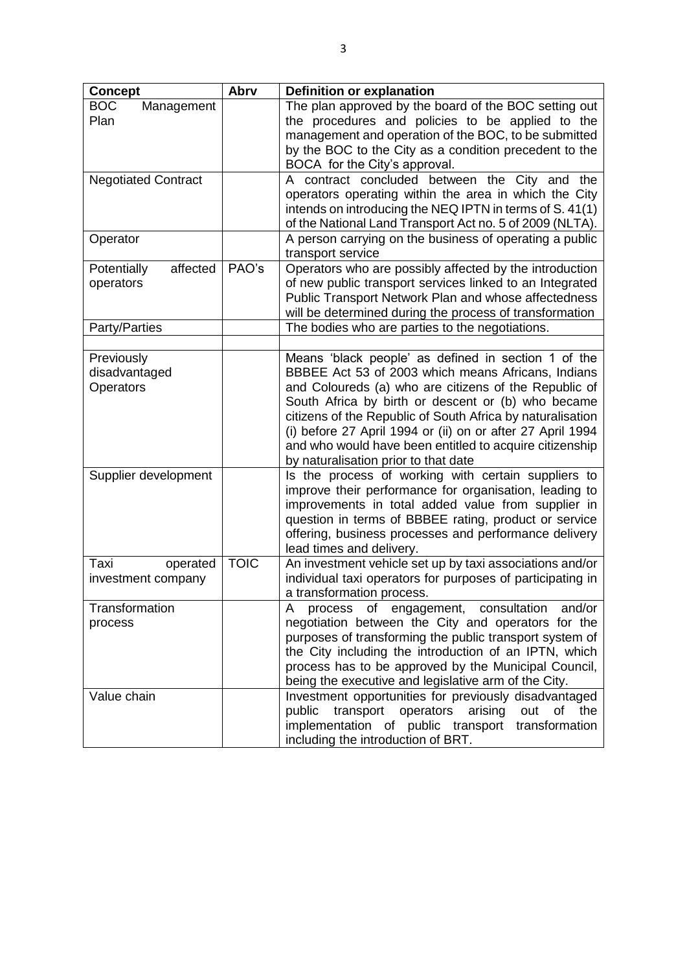| <b>Concept</b>                           | Abrv        | <b>Definition or explanation</b>                                                                                                                                                                                                                                                                                                                                                                                                                        |  |
|------------------------------------------|-------------|---------------------------------------------------------------------------------------------------------------------------------------------------------------------------------------------------------------------------------------------------------------------------------------------------------------------------------------------------------------------------------------------------------------------------------------------------------|--|
| <b>BOC</b><br>Management<br>Plan         |             | The plan approved by the board of the BOC setting out<br>the procedures and policies to be applied to the<br>management and operation of the BOC, to be submitted<br>by the BOC to the City as a condition precedent to the<br>BOCA for the City's approval.                                                                                                                                                                                            |  |
| <b>Negotiated Contract</b>               |             | A contract concluded between the City and the<br>operators operating within the area in which the City<br>intends on introducing the NEQ IPTN in terms of S. 41(1)<br>of the National Land Transport Act no. 5 of 2009 (NLTA).                                                                                                                                                                                                                          |  |
| Operator                                 |             | A person carrying on the business of operating a public<br>transport service                                                                                                                                                                                                                                                                                                                                                                            |  |
| affected<br>Potentially<br>operators     | PAO's       | Operators who are possibly affected by the introduction<br>of new public transport services linked to an Integrated<br>Public Transport Network Plan and whose affectedness<br>will be determined during the process of transformation                                                                                                                                                                                                                  |  |
| Party/Parties                            |             | The bodies who are parties to the negotiations.                                                                                                                                                                                                                                                                                                                                                                                                         |  |
|                                          |             |                                                                                                                                                                                                                                                                                                                                                                                                                                                         |  |
| Previously<br>disadvantaged<br>Operators |             | Means 'black people' as defined in section 1 of the<br>BBBEE Act 53 of 2003 which means Africans, Indians<br>and Coloureds (a) who are citizens of the Republic of<br>South Africa by birth or descent or (b) who became<br>citizens of the Republic of South Africa by naturalisation<br>(i) before 27 April 1994 or (ii) on or after 27 April 1994<br>and who would have been entitled to acquire citizenship<br>by naturalisation prior to that date |  |
| Supplier development                     |             | Is the process of working with certain suppliers to<br>improve their performance for organisation, leading to<br>improvements in total added value from supplier in<br>question in terms of BBBEE rating, product or service<br>offering, business processes and performance delivery<br>lead times and delivery.                                                                                                                                       |  |
| Taxi<br>operated<br>investment company   | <b>TOIC</b> | An investment vehicle set up by taxi associations and/or<br>individual taxi operators for purposes of participating in<br>a transformation process.                                                                                                                                                                                                                                                                                                     |  |
| Transformation<br>process                |             | process of engagement, consultation<br>A<br>and/or<br>negotiation between the City and operators for the<br>purposes of transforming the public transport system of<br>the City including the introduction of an IPTN, which<br>process has to be approved by the Municipal Council,<br>being the executive and legislative arm of the City.                                                                                                            |  |
| Value chain                              |             | Investment opportunities for previously disadvantaged<br>transport operators arising<br>out of<br>public<br>the<br>implementation of public transport transformation<br>including the introduction of BRT.                                                                                                                                                                                                                                              |  |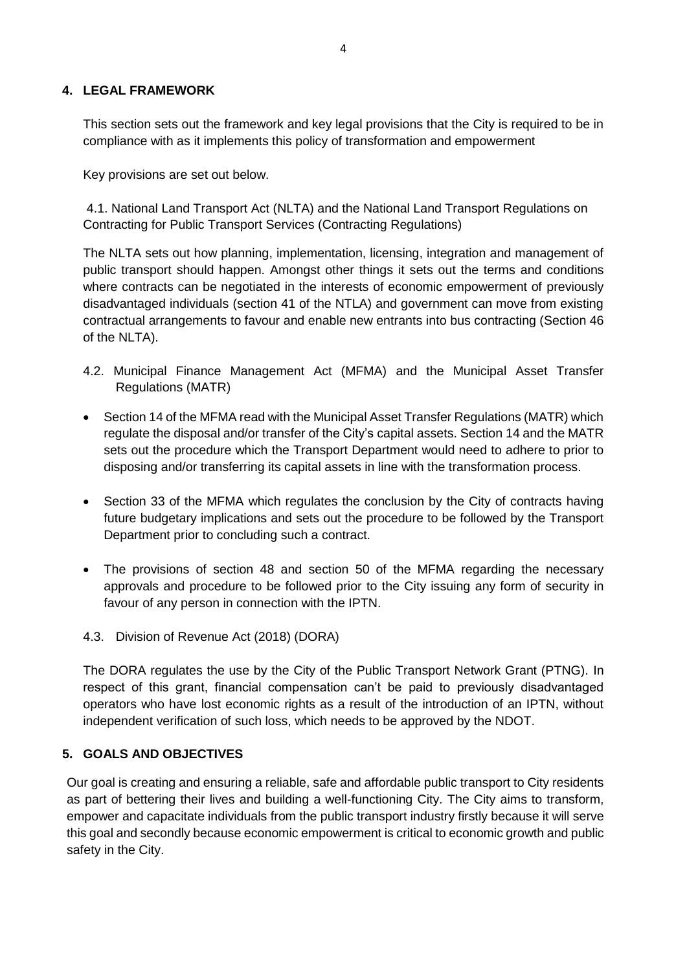#### **4. LEGAL FRAMEWORK**

This section sets out the framework and key legal provisions that the City is required to be in compliance with as it implements this policy of transformation and empowerment

Key provisions are set out below.

4.1. National Land Transport Act (NLTA) and the National Land Transport Regulations on Contracting for Public Transport Services (Contracting Regulations)

The NLTA sets out how planning, implementation, licensing, integration and management of public transport should happen. Amongst other things it sets out the terms and conditions where contracts can be negotiated in the interests of economic empowerment of previously disadvantaged individuals (section 41 of the NTLA) and government can move from existing contractual arrangements to favour and enable new entrants into bus contracting (Section 46 of the NLTA).

- 4.2. Municipal Finance Management Act (MFMA) and the Municipal Asset Transfer Regulations (MATR)
- Section 14 of the MFMA read with the Municipal Asset Transfer Regulations (MATR) which regulate the disposal and/or transfer of the City's capital assets. Section 14 and the MATR sets out the procedure which the Transport Department would need to adhere to prior to disposing and/or transferring its capital assets in line with the transformation process.
- Section 33 of the MFMA which regulates the conclusion by the City of contracts having future budgetary implications and sets out the procedure to be followed by the Transport Department prior to concluding such a contract.
- The provisions of section 48 and section 50 of the MFMA regarding the necessary approvals and procedure to be followed prior to the City issuing any form of security in favour of any person in connection with the IPTN.
- 4.3. Division of Revenue Act (2018) (DORA)

The DORA regulates the use by the City of the Public Transport Network Grant (PTNG). In respect of this grant, financial compensation can't be paid to previously disadvantaged operators who have lost economic rights as a result of the introduction of an IPTN, without independent verification of such loss, which needs to be approved by the NDOT.

# **5. GOALS AND OBJECTIVES**

Our goal is creating and ensuring a reliable, safe and affordable public transport to City residents as part of bettering their lives and building a well-functioning City. The City aims to transform, empower and capacitate individuals from the public transport industry firstly because it will serve this goal and secondly because economic empowerment is critical to economic growth and public safety in the City.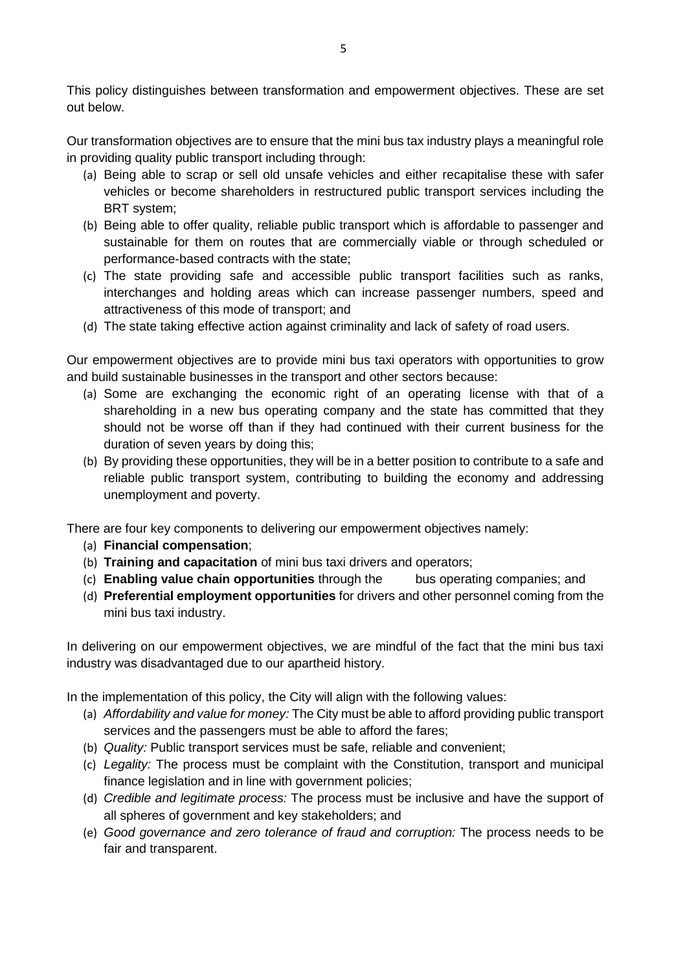This policy distinguishes between transformation and empowerment objectives. These are set out below.

Our transformation objectives are to ensure that the mini bus tax industry plays a meaningful role in providing quality public transport including through:

- (a) Being able to scrap or sell old unsafe vehicles and either recapitalise these with safer vehicles or become shareholders in restructured public transport services including the BRT system;
- (b) Being able to offer quality, reliable public transport which is affordable to passenger and sustainable for them on routes that are commercially viable or through scheduled or performance-based contracts with the state;
- (c) The state providing safe and accessible public transport facilities such as ranks, interchanges and holding areas which can increase passenger numbers, speed and attractiveness of this mode of transport; and
- (d) The state taking effective action against criminality and lack of safety of road users.

Our empowerment objectives are to provide mini bus taxi operators with opportunities to grow and build sustainable businesses in the transport and other sectors because:

- (a) Some are exchanging the economic right of an operating license with that of a shareholding in a new bus operating company and the state has committed that they should not be worse off than if they had continued with their current business for the duration of seven years by doing this;
- (b) By providing these opportunities, they will be in a better position to contribute to a safe and reliable public transport system, contributing to building the economy and addressing unemployment and poverty.

There are four key components to delivering our empowerment objectives namely:

- (a) **Financial compensation**;
- (b) **Training and capacitation** of mini bus taxi drivers and operators;
- (c) **Enabling value chain opportunities** through the bus operating companies; and
- (d) **Preferential employment opportunities** for drivers and other personnel coming from the mini bus taxi industry.

In delivering on our empowerment objectives, we are mindful of the fact that the mini bus taxi industry was disadvantaged due to our apartheid history.

In the implementation of this policy, the City will align with the following values:

- (a) *Affordability and value for money:* The City must be able to afford providing public transport services and the passengers must be able to afford the fares;
- (b) *Quality:* Public transport services must be safe, reliable and convenient;
- (c) *Legality:* The process must be complaint with the Constitution, transport and municipal finance legislation and in line with government policies;
- (d) *Credible and legitimate process:* The process must be inclusive and have the support of all spheres of government and key stakeholders; and
- (e) *Good governance and zero tolerance of fraud and corruption:* The process needs to be fair and transparent.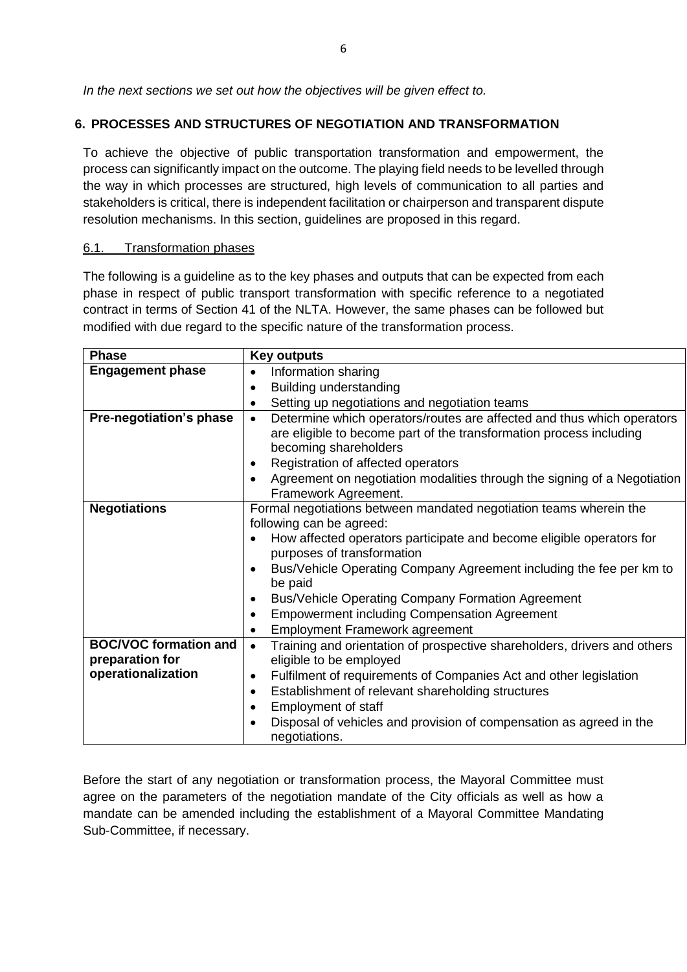*In the next sections we set out how the objectives will be given effect to.* 

# **6. PROCESSES AND STRUCTURES OF NEGOTIATION AND TRANSFORMATION**

To achieve the objective of public transportation transformation and empowerment, the process can significantly impact on the outcome. The playing field needs to be levelled through the way in which processes are structured, high levels of communication to all parties and stakeholders is critical, there is independent facilitation or chairperson and transparent dispute resolution mechanisms. In this section, guidelines are proposed in this regard.

#### 6.1. Transformation phases

The following is a guideline as to the key phases and outputs that can be expected from each phase in respect of public transport transformation with specific reference to a negotiated contract in terms of Section 41 of the NLTA. However, the same phases can be followed but modified with due regard to the specific nature of the transformation process.

| <b>Phase</b>                                                          | <b>Key outputs</b>                                                                                                                                                                                                                                                                                                                                                                                                                                                                        |
|-----------------------------------------------------------------------|-------------------------------------------------------------------------------------------------------------------------------------------------------------------------------------------------------------------------------------------------------------------------------------------------------------------------------------------------------------------------------------------------------------------------------------------------------------------------------------------|
| <b>Engagement phase</b>                                               | Information sharing<br>$\bullet$                                                                                                                                                                                                                                                                                                                                                                                                                                                          |
|                                                                       | Building understanding<br>$\bullet$                                                                                                                                                                                                                                                                                                                                                                                                                                                       |
|                                                                       | Setting up negotiations and negotiation teams<br>$\bullet$                                                                                                                                                                                                                                                                                                                                                                                                                                |
| Pre-negotiation's phase                                               | Determine which operators/routes are affected and thus which operators<br>$\bullet$<br>are eligible to become part of the transformation process including<br>becoming shareholders<br>Registration of affected operators<br>Agreement on negotiation modalities through the signing of a Negotiation                                                                                                                                                                                     |
|                                                                       | Framework Agreement.                                                                                                                                                                                                                                                                                                                                                                                                                                                                      |
| <b>Negotiations</b>                                                   | Formal negotiations between mandated negotiation teams wherein the<br>following can be agreed:<br>How affected operators participate and become eligible operators for<br>purposes of transformation<br>Bus/Vehicle Operating Company Agreement including the fee per km to<br>be paid<br><b>Bus/Vehicle Operating Company Formation Agreement</b><br>$\bullet$<br><b>Empowerment including Compensation Agreement</b><br>$\bullet$<br><b>Employment Framework agreement</b><br>$\bullet$ |
| <b>BOC/VOC formation and</b><br>preparation for<br>operationalization | Training and orientation of prospective shareholders, drivers and others<br>$\bullet$<br>eligible to be employed<br>Fulfilment of requirements of Companies Act and other legislation<br>$\bullet$<br>Establishment of relevant shareholding structures<br>$\bullet$<br>Employment of staff<br>$\bullet$<br>Disposal of vehicles and provision of compensation as agreed in the<br>negotiations.                                                                                          |

Before the start of any negotiation or transformation process, the Mayoral Committee must agree on the parameters of the negotiation mandate of the City officials as well as how a mandate can be amended including the establishment of a Mayoral Committee Mandating Sub-Committee, if necessary.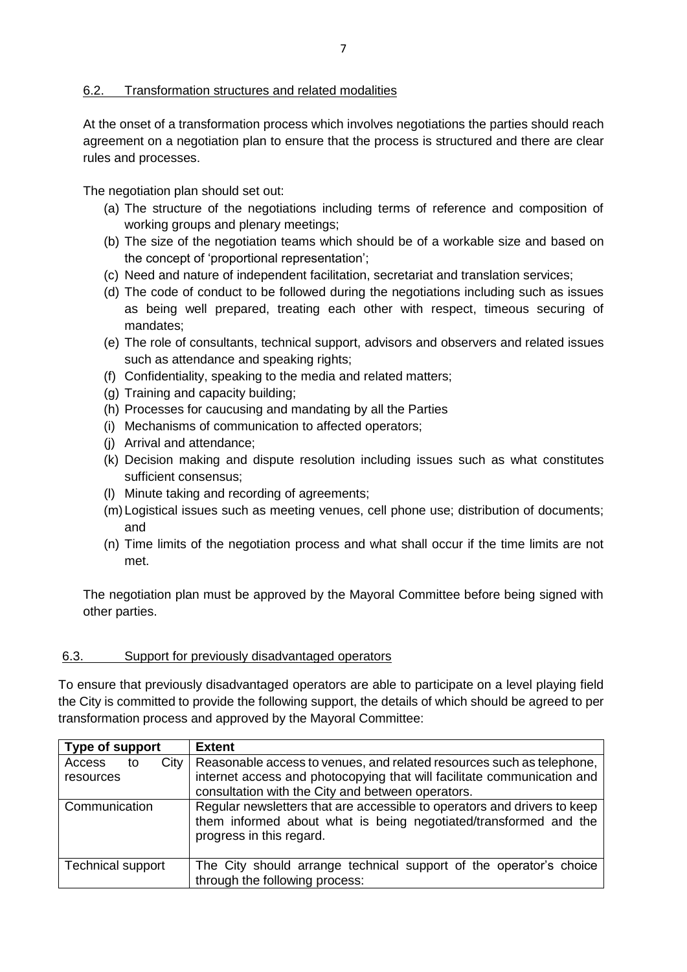#### 6.2. Transformation structures and related modalities

At the onset of a transformation process which involves negotiations the parties should reach agreement on a negotiation plan to ensure that the process is structured and there are clear rules and processes.

The negotiation plan should set out:

- (a) The structure of the negotiations including terms of reference and composition of working groups and plenary meetings;
- (b) The size of the negotiation teams which should be of a workable size and based on the concept of 'proportional representation';
- (c) Need and nature of independent facilitation, secretariat and translation services;
- (d) The code of conduct to be followed during the negotiations including such as issues as being well prepared, treating each other with respect, timeous securing of mandates;
- (e) The role of consultants, technical support, advisors and observers and related issues such as attendance and speaking rights;
- (f) Confidentiality, speaking to the media and related matters;
- (g) Training and capacity building;
- (h) Processes for caucusing and mandating by all the Parties
- (i) Mechanisms of communication to affected operators;
- (j) Arrival and attendance;
- (k) Decision making and dispute resolution including issues such as what constitutes sufficient consensus;
- (l) Minute taking and recording of agreements;
- (m)Logistical issues such as meeting venues, cell phone use; distribution of documents; and
- (n) Time limits of the negotiation process and what shall occur if the time limits are not met.

The negotiation plan must be approved by the Mayoral Committee before being signed with other parties.

#### 6.3. Support for previously disadvantaged operators

To ensure that previously disadvantaged operators are able to participate on a level playing field the City is committed to provide the following support, the details of which should be agreed to per transformation process and approved by the Mayoral Committee:

| Type of support                   | <b>Extent</b>                                                                                                                                                                                         |
|-----------------------------------|-------------------------------------------------------------------------------------------------------------------------------------------------------------------------------------------------------|
| City<br>Access<br>to<br>resources | Reasonable access to venues, and related resources such as telephone,<br>internet access and photocopying that will facilitate communication and<br>consultation with the City and between operators. |
| Communication                     | Regular newsletters that are accessible to operators and drivers to keep<br>them informed about what is being negotiated/transformed and the<br>progress in this regard.                              |
| <b>Technical support</b>          | The City should arrange technical support of the operator's choice<br>through the following process:                                                                                                  |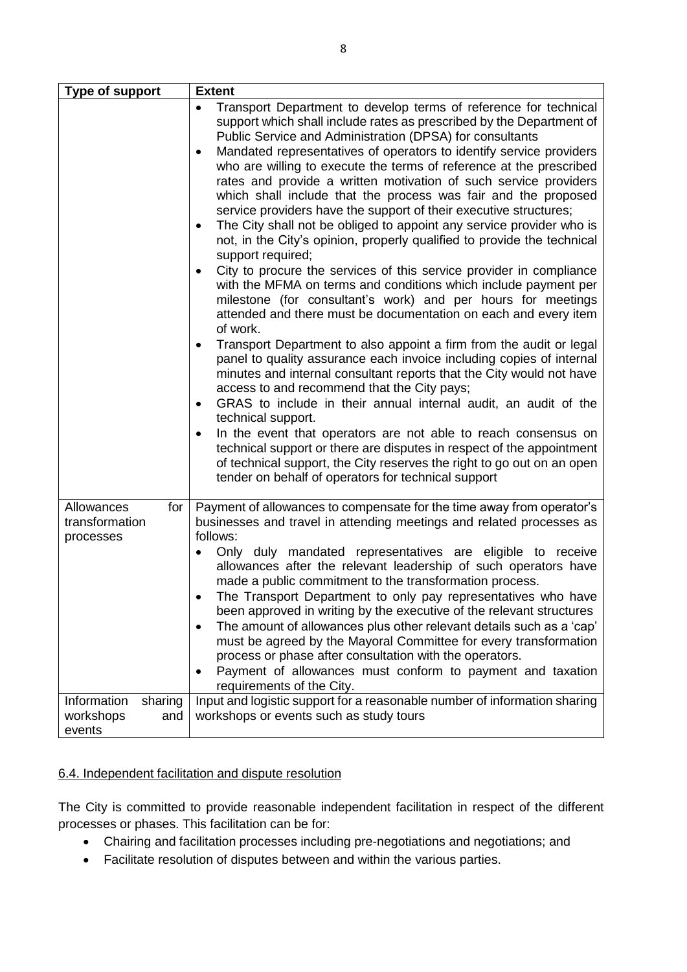| Type of support                                      | <b>Extent</b>                                                                                                                                                                                                                                                                                                                                                                                                                                                                                                                                                                                                                                                                                                                                                                                                                                                                                                                                                                                                                                                                                                                                                                                                                                                                                                                                                                                                                                                                                                                                                                                                                                                                            |
|------------------------------------------------------|------------------------------------------------------------------------------------------------------------------------------------------------------------------------------------------------------------------------------------------------------------------------------------------------------------------------------------------------------------------------------------------------------------------------------------------------------------------------------------------------------------------------------------------------------------------------------------------------------------------------------------------------------------------------------------------------------------------------------------------------------------------------------------------------------------------------------------------------------------------------------------------------------------------------------------------------------------------------------------------------------------------------------------------------------------------------------------------------------------------------------------------------------------------------------------------------------------------------------------------------------------------------------------------------------------------------------------------------------------------------------------------------------------------------------------------------------------------------------------------------------------------------------------------------------------------------------------------------------------------------------------------------------------------------------------------|
|                                                      | Transport Department to develop terms of reference for technical<br>support which shall include rates as prescribed by the Department of<br>Public Service and Administration (DPSA) for consultants<br>Mandated representatives of operators to identify service providers<br>who are willing to execute the terms of reference at the prescribed<br>rates and provide a written motivation of such service providers<br>which shall include that the process was fair and the proposed<br>service providers have the support of their executive structures;<br>The City shall not be obliged to appoint any service provider who is<br>٠<br>not, in the City's opinion, properly qualified to provide the technical<br>support required;<br>City to procure the services of this service provider in compliance<br>with the MFMA on terms and conditions which include payment per<br>milestone (for consultant's work) and per hours for meetings<br>attended and there must be documentation on each and every item<br>of work.<br>Transport Department to also appoint a firm from the audit or legal<br>٠<br>panel to quality assurance each invoice including copies of internal<br>minutes and internal consultant reports that the City would not have<br>access to and recommend that the City pays;<br>GRAS to include in their annual internal audit, an audit of the<br>٠<br>technical support.<br>In the event that operators are not able to reach consensus on<br>technical support or there are disputes in respect of the appointment<br>of technical support, the City reserves the right to go out on an open<br>tender on behalf of operators for technical support |
| for<br>Allowances<br>transformation<br>processes     | Payment of allowances to compensate for the time away from operator's<br>businesses and travel in attending meetings and related processes as<br>follows:<br>Only duly mandated representatives are eligible to receive<br>allowances after the relevant leadership of such operators have<br>made a public commitment to the transformation process.<br>The Transport Department to only pay representatives who have<br>been approved in writing by the executive of the relevant structures<br>The amount of allowances plus other relevant details such as a 'cap'<br>٠<br>must be agreed by the Mayoral Committee for every transformation<br>process or phase after consultation with the operators.<br>Payment of allowances must conform to payment and taxation<br>requirements of the City.                                                                                                                                                                                                                                                                                                                                                                                                                                                                                                                                                                                                                                                                                                                                                                                                                                                                                    |
| Information<br>sharing<br>workshops<br>and<br>events | Input and logistic support for a reasonable number of information sharing<br>workshops or events such as study tours                                                                                                                                                                                                                                                                                                                                                                                                                                                                                                                                                                                                                                                                                                                                                                                                                                                                                                                                                                                                                                                                                                                                                                                                                                                                                                                                                                                                                                                                                                                                                                     |

# 6.4. Independent facilitation and dispute resolution

The City is committed to provide reasonable independent facilitation in respect of the different processes or phases. This facilitation can be for:

- Chairing and facilitation processes including pre-negotiations and negotiations; and
- Facilitate resolution of disputes between and within the various parties.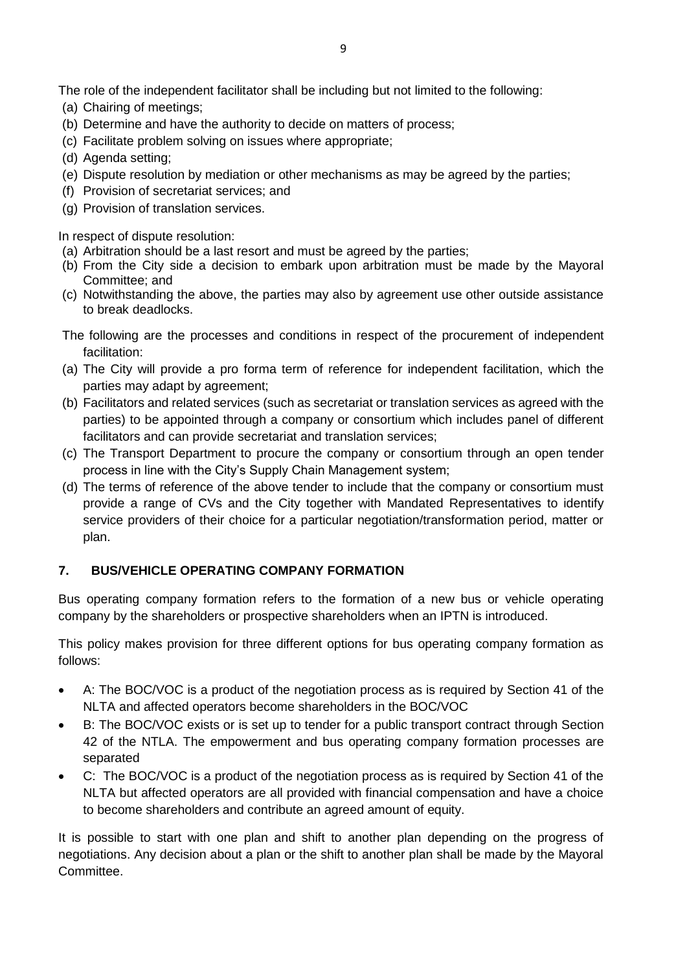The role of the independent facilitator shall be including but not limited to the following:

- (a) Chairing of meetings;
- (b) Determine and have the authority to decide on matters of process;
- (c) Facilitate problem solving on issues where appropriate;
- (d) Agenda setting;
- (e) Dispute resolution by mediation or other mechanisms as may be agreed by the parties;
- (f) Provision of secretariat services; and
- (g) Provision of translation services.

In respect of dispute resolution:

- (a) Arbitration should be a last resort and must be agreed by the parties;
- (b) From the City side a decision to embark upon arbitration must be made by the Mayoral Committee; and
- (c) Notwithstanding the above, the parties may also by agreement use other outside assistance to break deadlocks.

The following are the processes and conditions in respect of the procurement of independent facilitation:

- (a) The City will provide a pro forma term of reference for independent facilitation, which the parties may adapt by agreement;
- (b) Facilitators and related services (such as secretariat or translation services as agreed with the parties) to be appointed through a company or consortium which includes panel of different facilitators and can provide secretariat and translation services;
- (c) The Transport Department to procure the company or consortium through an open tender process in line with the City's Supply Chain Management system;
- (d) The terms of reference of the above tender to include that the company or consortium must provide a range of CVs and the City together with Mandated Representatives to identify service providers of their choice for a particular negotiation/transformation period, matter or plan.

# **7. BUS/VEHICLE OPERATING COMPANY FORMATION**

Bus operating company formation refers to the formation of a new bus or vehicle operating company by the shareholders or prospective shareholders when an IPTN is introduced.

This policy makes provision for three different options for bus operating company formation as follows:

- A: The BOC/VOC is a product of the negotiation process as is required by Section 41 of the NLTA and affected operators become shareholders in the BOC/VOC
- B: The BOC/VOC exists or is set up to tender for a public transport contract through Section 42 of the NTLA. The empowerment and bus operating company formation processes are separated
- C: The BOC/VOC is a product of the negotiation process as is required by Section 41 of the NLTA but affected operators are all provided with financial compensation and have a choice to become shareholders and contribute an agreed amount of equity.

It is possible to start with one plan and shift to another plan depending on the progress of negotiations. Any decision about a plan or the shift to another plan shall be made by the Mayoral Committee.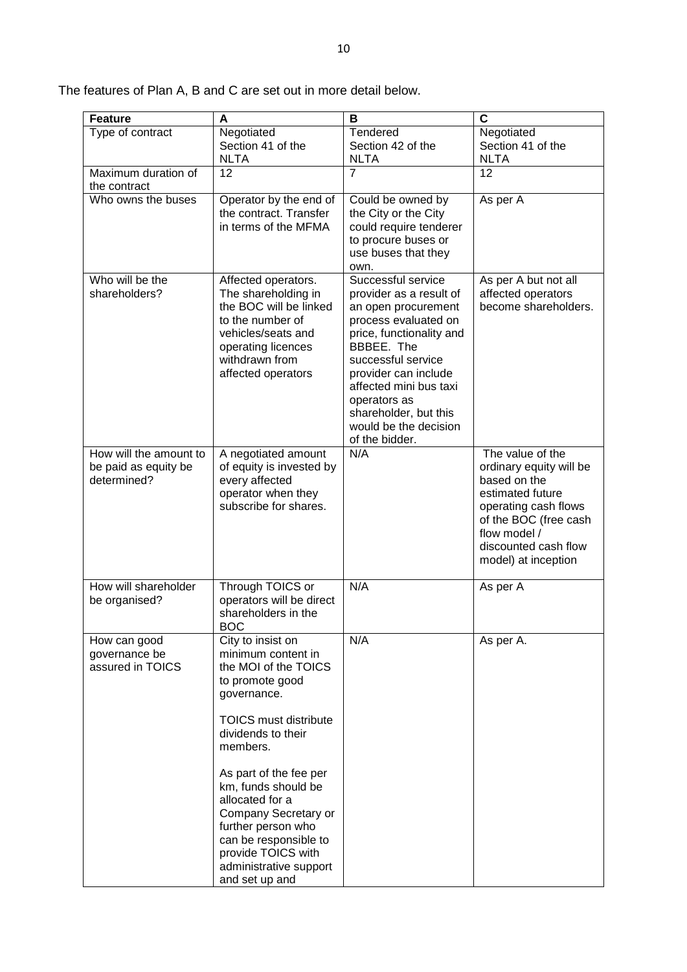The features of Plan A, B and C are set out in more detail below.

| <b>Feature</b>                                                | A                                                                                                                                                                                                                                                                                                                                                              | В                                                                                                                                                                                                                                                                                                  | C                                                                                                                                                                                               |
|---------------------------------------------------------------|----------------------------------------------------------------------------------------------------------------------------------------------------------------------------------------------------------------------------------------------------------------------------------------------------------------------------------------------------------------|----------------------------------------------------------------------------------------------------------------------------------------------------------------------------------------------------------------------------------------------------------------------------------------------------|-------------------------------------------------------------------------------------------------------------------------------------------------------------------------------------------------|
| Type of contract                                              | Negotiated<br>Section 41 of the<br><b>NLTA</b>                                                                                                                                                                                                                                                                                                                 | Tendered<br>Section 42 of the<br><b>NLTA</b>                                                                                                                                                                                                                                                       | Negotiated<br>Section 41 of the<br><b>NLTA</b>                                                                                                                                                  |
| Maximum duration of<br>the contract                           | 12                                                                                                                                                                                                                                                                                                                                                             | $\overline{7}$                                                                                                                                                                                                                                                                                     | 12                                                                                                                                                                                              |
| Who owns the buses                                            | Operator by the end of<br>the contract. Transfer<br>in terms of the MFMA                                                                                                                                                                                                                                                                                       | Could be owned by<br>the City or the City<br>could require tenderer<br>to procure buses or<br>use buses that they<br>own.                                                                                                                                                                          | As per A                                                                                                                                                                                        |
| Who will be the<br>shareholders?                              | Affected operators.<br>The shareholding in<br>the BOC will be linked<br>to the number of<br>vehicles/seats and<br>operating licences<br>withdrawn from<br>affected operators                                                                                                                                                                                   | Successful service<br>provider as a result of<br>an open procurement<br>process evaluated on<br>price, functionality and<br>BBBEE. The<br>successful service<br>provider can include<br>affected mini bus taxi<br>operators as<br>shareholder, but this<br>would be the decision<br>of the bidder. | As per A but not all<br>affected operators<br>become shareholders.                                                                                                                              |
| How will the amount to<br>be paid as equity be<br>determined? | A negotiated amount<br>of equity is invested by<br>every affected<br>operator when they<br>subscribe for shares.                                                                                                                                                                                                                                               | N/A                                                                                                                                                                                                                                                                                                | The value of the<br>ordinary equity will be<br>based on the<br>estimated future<br>operating cash flows<br>of the BOC (free cash<br>flow model /<br>discounted cash flow<br>model) at inception |
| How will shareholder<br>be organised?                         | Through TOICS or<br>operators will be direct<br>shareholders in the<br><b>BOC</b>                                                                                                                                                                                                                                                                              | N/A                                                                                                                                                                                                                                                                                                | As per A                                                                                                                                                                                        |
| How can good<br>governance be<br>assured in TOICS             | City to insist on<br>minimum content in<br>the MOI of the TOICS<br>to promote good<br>governance.<br><b>TOICS must distribute</b><br>dividends to their<br>members.<br>As part of the fee per<br>km, funds should be<br>allocated for a<br>Company Secretary or<br>further person who<br>can be responsible to<br>provide TOICS with<br>administrative support | N/A                                                                                                                                                                                                                                                                                                | As per A.                                                                                                                                                                                       |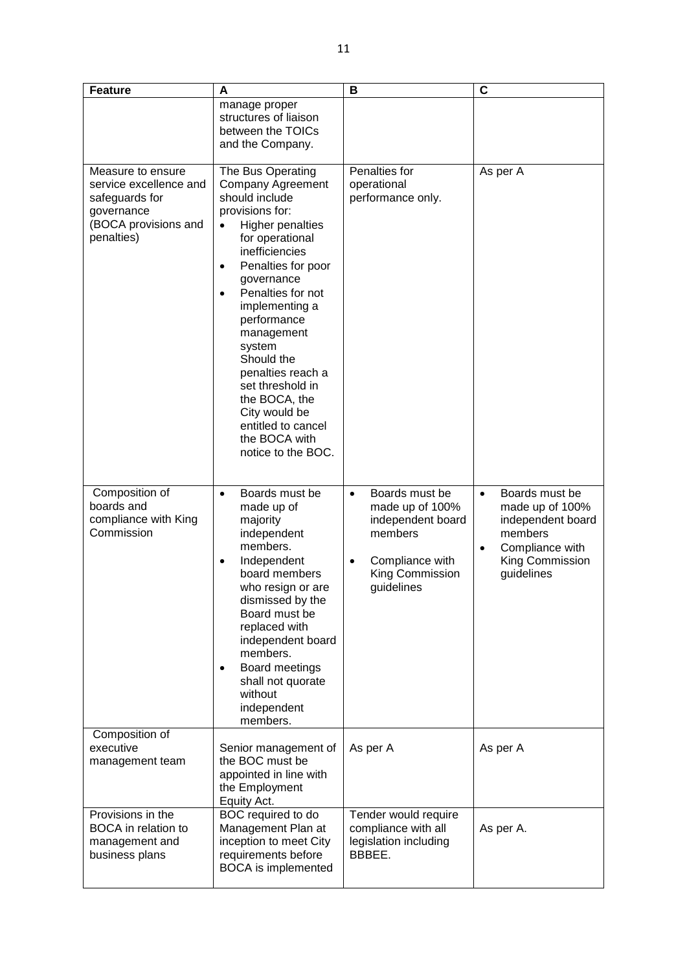| <b>Feature</b>                                                                                                    | A                                                                                                                                                                                                                                                                                                                                                                                                                                                                 | B                                                                                                                                               | C                                                                                                                                               |
|-------------------------------------------------------------------------------------------------------------------|-------------------------------------------------------------------------------------------------------------------------------------------------------------------------------------------------------------------------------------------------------------------------------------------------------------------------------------------------------------------------------------------------------------------------------------------------------------------|-------------------------------------------------------------------------------------------------------------------------------------------------|-------------------------------------------------------------------------------------------------------------------------------------------------|
|                                                                                                                   | manage proper<br>structures of liaison<br>between the TOICs<br>and the Company.                                                                                                                                                                                                                                                                                                                                                                                   |                                                                                                                                                 |                                                                                                                                                 |
| Measure to ensure<br>service excellence and<br>safeguards for<br>governance<br>(BOCA provisions and<br>penalties) | The Bus Operating<br><b>Company Agreement</b><br>should include<br>provisions for:<br><b>Higher penalties</b><br>$\bullet$<br>for operational<br>inefficiencies<br>Penalties for poor<br>$\bullet$<br>governance<br>Penalties for not<br>$\bullet$<br>implementing a<br>performance<br>management<br>system<br>Should the<br>penalties reach a<br>set threshold in<br>the BOCA, the<br>City would be<br>entitled to cancel<br>the BOCA with<br>notice to the BOC. | Penalties for<br>operational<br>performance only.                                                                                               | As per A                                                                                                                                        |
| Composition of<br>boards and<br>compliance with King<br>Commission                                                | Boards must be<br>$\bullet$<br>made up of<br>majority<br>independent<br>members.<br>Independent<br>$\bullet$<br>board members<br>who resign or are<br>dismissed by the<br>Board must be<br>replaced with<br>independent board<br>members.<br>Board meetings<br>$\bullet$<br>shall not quorate<br>without<br>independent<br>members.                                                                                                                               | Boards must be<br>$\bullet$<br>made up of 100%<br>independent board<br>members<br>Compliance with<br>$\bullet$<br>King Commission<br>guidelines | Boards must be<br>$\bullet$<br>made up of 100%<br>independent board<br>members<br>Compliance with<br>$\bullet$<br>King Commission<br>guidelines |
| Composition of<br>executive<br>management team                                                                    | Senior management of<br>the BOC must be<br>appointed in line with<br>the Employment<br>Equity Act.                                                                                                                                                                                                                                                                                                                                                                | As per A                                                                                                                                        | As per A                                                                                                                                        |
| Provisions in the<br><b>BOCA</b> in relation to<br>management and<br>business plans                               | BOC required to do<br>Management Plan at<br>inception to meet City<br>requirements before<br><b>BOCA</b> is implemented                                                                                                                                                                                                                                                                                                                                           | Tender would require<br>compliance with all<br>legislation including<br>BBBEE.                                                                  | As per A.                                                                                                                                       |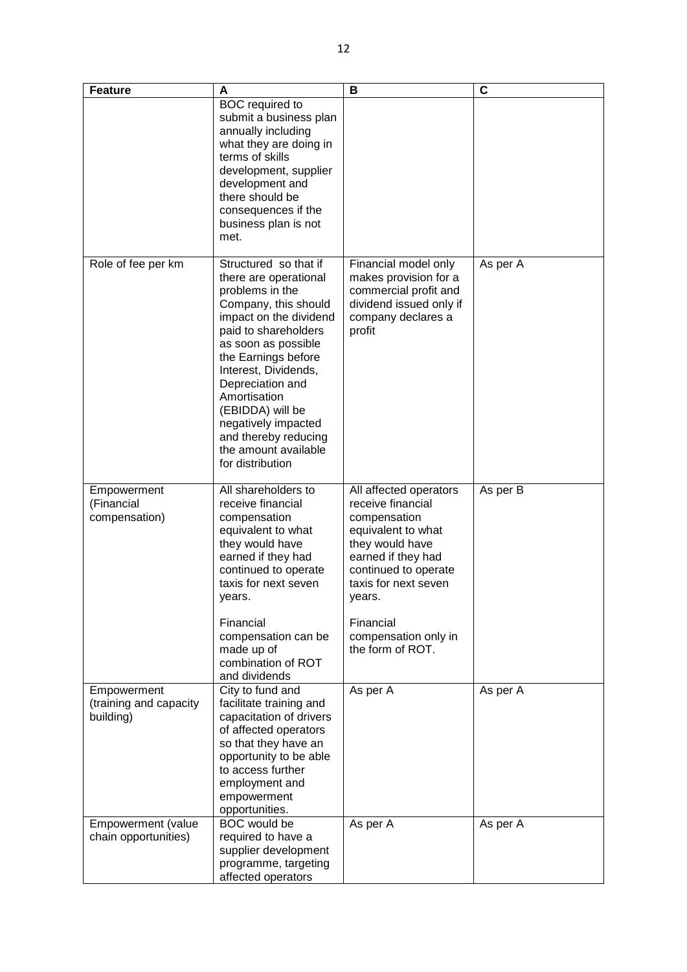| <b>Feature</b>                                     | A                                                                                                                                                                                                                                                                                                                                                                    | B                                                                                                                                                                                                                                             | C        |
|----------------------------------------------------|----------------------------------------------------------------------------------------------------------------------------------------------------------------------------------------------------------------------------------------------------------------------------------------------------------------------------------------------------------------------|-----------------------------------------------------------------------------------------------------------------------------------------------------------------------------------------------------------------------------------------------|----------|
|                                                    | <b>BOC</b> required to<br>submit a business plan<br>annually including<br>what they are doing in<br>terms of skills<br>development, supplier<br>development and<br>there should be<br>consequences if the<br>business plan is not<br>met.                                                                                                                            |                                                                                                                                                                                                                                               |          |
| Role of fee per km                                 | Structured so that if<br>there are operational<br>problems in the<br>Company, this should<br>impact on the dividend<br>paid to shareholders<br>as soon as possible<br>the Earnings before<br>Interest, Dividends,<br>Depreciation and<br>Amortisation<br>(EBIDDA) will be<br>negatively impacted<br>and thereby reducing<br>the amount available<br>for distribution | Financial model only<br>makes provision for a<br>commercial profit and<br>dividend issued only if<br>company declares a<br>profit                                                                                                             | As per A |
| Empowerment<br>(Financial<br>compensation)         | All shareholders to<br>receive financial<br>compensation<br>equivalent to what<br>they would have<br>earned if they had<br>continued to operate<br>taxis for next seven<br>years.<br>Financial<br>compensation can be<br>made up of<br>combination of ROT<br>and dividends                                                                                           | All affected operators<br>receive financial<br>compensation<br>equivalent to what<br>they would have<br>earned if they had<br>continued to operate<br>taxis for next seven<br>years.<br>Financial<br>compensation only in<br>the form of ROT. | As per B |
| Empowerment<br>(training and capacity<br>building) | City to fund and<br>facilitate training and<br>capacitation of drivers<br>of affected operators<br>so that they have an<br>opportunity to be able<br>to access further<br>employment and<br>empowerment<br>opportunities.                                                                                                                                            | As per A                                                                                                                                                                                                                                      | As per A |
| Empowerment (value<br>chain opportunities)         | <b>BOC</b> would be<br>required to have a<br>supplier development<br>programme, targeting<br>affected operators                                                                                                                                                                                                                                                      | As per A                                                                                                                                                                                                                                      | As per A |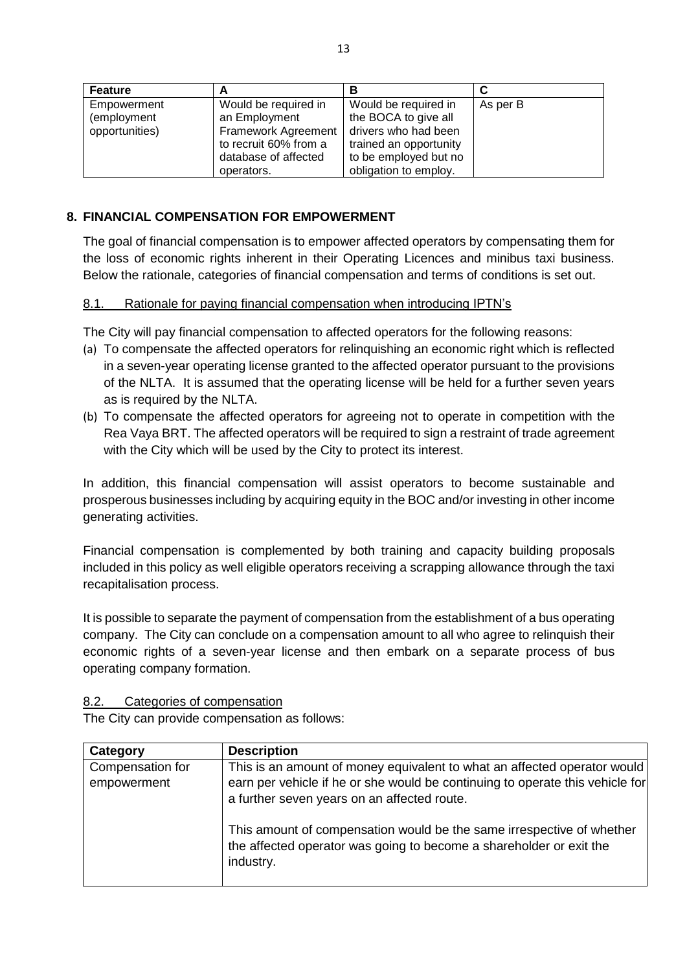| <b>Feature</b> |                       | в                      |          |
|----------------|-----------------------|------------------------|----------|
| Empowerment    | Would be required in  | Would be required in   | As per B |
| (employment    | an Employment         | the BOCA to give all   |          |
| opportunities) | Framework Agreement   | drivers who had been   |          |
|                | to recruit 60% from a | trained an opportunity |          |
|                | database of affected  | to be employed but no  |          |
|                | operators.            | obligation to employ.  |          |

### **8. FINANCIAL COMPENSATION FOR EMPOWERMENT**

The goal of financial compensation is to empower affected operators by compensating them for the loss of economic rights inherent in their Operating Licences and minibus taxi business. Below the rationale, categories of financial compensation and terms of conditions is set out.

#### 8.1. Rationale for paying financial compensation when introducing IPTN's

The City will pay financial compensation to affected operators for the following reasons:

- (a) To compensate the affected operators for relinquishing an economic right which is reflected in a seven-year operating license granted to the affected operator pursuant to the provisions of the NLTA. It is assumed that the operating license will be held for a further seven years as is required by the NLTA.
- (b) To compensate the affected operators for agreeing not to operate in competition with the Rea Vaya BRT. The affected operators will be required to sign a restraint of trade agreement with the City which will be used by the City to protect its interest.

In addition, this financial compensation will assist operators to become sustainable and prosperous businesses including by acquiring equity in the BOC and/or investing in other income generating activities.

Financial compensation is complemented by both training and capacity building proposals included in this policy as well eligible operators receiving a scrapping allowance through the taxi recapitalisation process.

It is possible to separate the payment of compensation from the establishment of a bus operating company. The City can conclude on a compensation amount to all who agree to relinquish their economic rights of a seven-year license and then embark on a separate process of bus operating company formation.

8.2. Categories of compensation

The City can provide compensation as follows:

| Category                        | <b>Description</b>                                                                                                                                                                                       |
|---------------------------------|----------------------------------------------------------------------------------------------------------------------------------------------------------------------------------------------------------|
| Compensation for<br>empowerment | This is an amount of money equivalent to what an affected operator would<br>earn per vehicle if he or she would be continuing to operate this vehicle for<br>a further seven years on an affected route. |
|                                 | This amount of compensation would be the same irrespective of whether<br>the affected operator was going to become a shareholder or exit the<br>industry.                                                |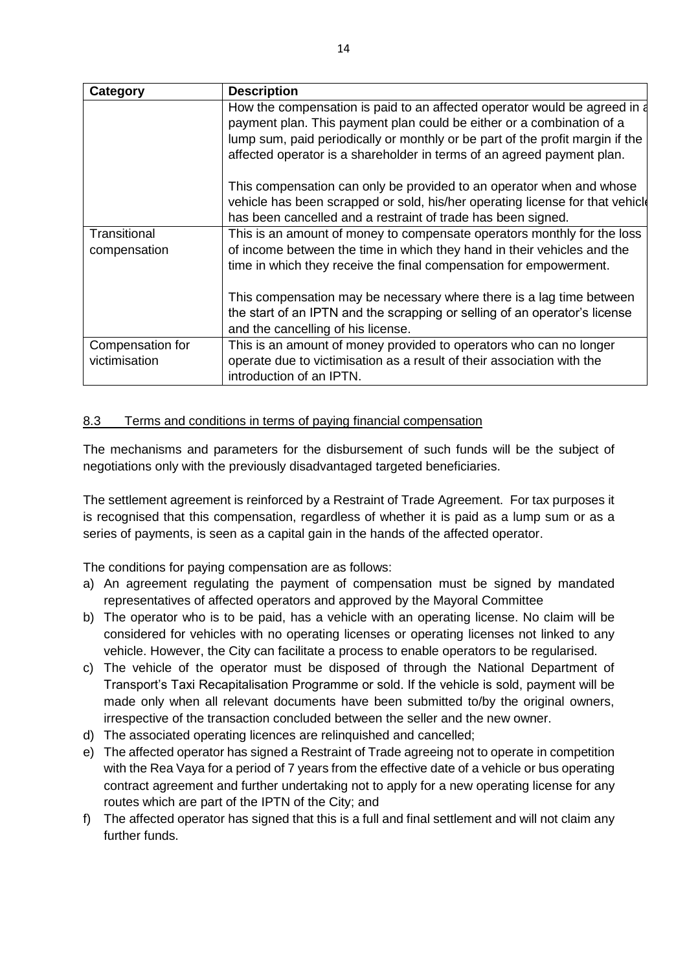| <b>Category</b>                   | <b>Description</b>                                                                                                                                                                                                                                                                                            |
|-----------------------------------|---------------------------------------------------------------------------------------------------------------------------------------------------------------------------------------------------------------------------------------------------------------------------------------------------------------|
|                                   | How the compensation is paid to an affected operator would be agreed in a<br>payment plan. This payment plan could be either or a combination of a<br>lump sum, paid periodically or monthly or be part of the profit margin if the<br>affected operator is a shareholder in terms of an agreed payment plan. |
|                                   | This compensation can only be provided to an operator when and whose<br>vehicle has been scrapped or sold, his/her operating license for that vehicle<br>has been cancelled and a restraint of trade has been signed.                                                                                         |
| Transitional<br>compensation      | This is an amount of money to compensate operators monthly for the loss<br>of income between the time in which they hand in their vehicles and the<br>time in which they receive the final compensation for empowerment.                                                                                      |
|                                   | This compensation may be necessary where there is a lag time between<br>the start of an IPTN and the scrapping or selling of an operator's license<br>and the cancelling of his license.                                                                                                                      |
| Compensation for<br>victimisation | This is an amount of money provided to operators who can no longer<br>operate due to victimisation as a result of their association with the<br>introduction of an IPTN.                                                                                                                                      |

# 8.3 Terms and conditions in terms of paying financial compensation

The mechanisms and parameters for the disbursement of such funds will be the subject of negotiations only with the previously disadvantaged targeted beneficiaries.

The settlement agreement is reinforced by a Restraint of Trade Agreement. For tax purposes it is recognised that this compensation, regardless of whether it is paid as a lump sum or as a series of payments, is seen as a capital gain in the hands of the affected operator.

The conditions for paying compensation are as follows:

- a) An agreement regulating the payment of compensation must be signed by mandated representatives of affected operators and approved by the Mayoral Committee
- b) The operator who is to be paid, has a vehicle with an operating license. No claim will be considered for vehicles with no operating licenses or operating licenses not linked to any vehicle. However, the City can facilitate a process to enable operators to be regularised.
- c) The vehicle of the operator must be disposed of through the National Department of Transport's Taxi Recapitalisation Programme or sold. If the vehicle is sold, payment will be made only when all relevant documents have been submitted to/by the original owners, irrespective of the transaction concluded between the seller and the new owner.
- d) The associated operating licences are relinquished and cancelled;
- e) The affected operator has signed a Restraint of Trade agreeing not to operate in competition with the Rea Vaya for a period of 7 years from the effective date of a vehicle or bus operating contract agreement and further undertaking not to apply for a new operating license for any routes which are part of the IPTN of the City; and
- f) The affected operator has signed that this is a full and final settlement and will not claim any further funds.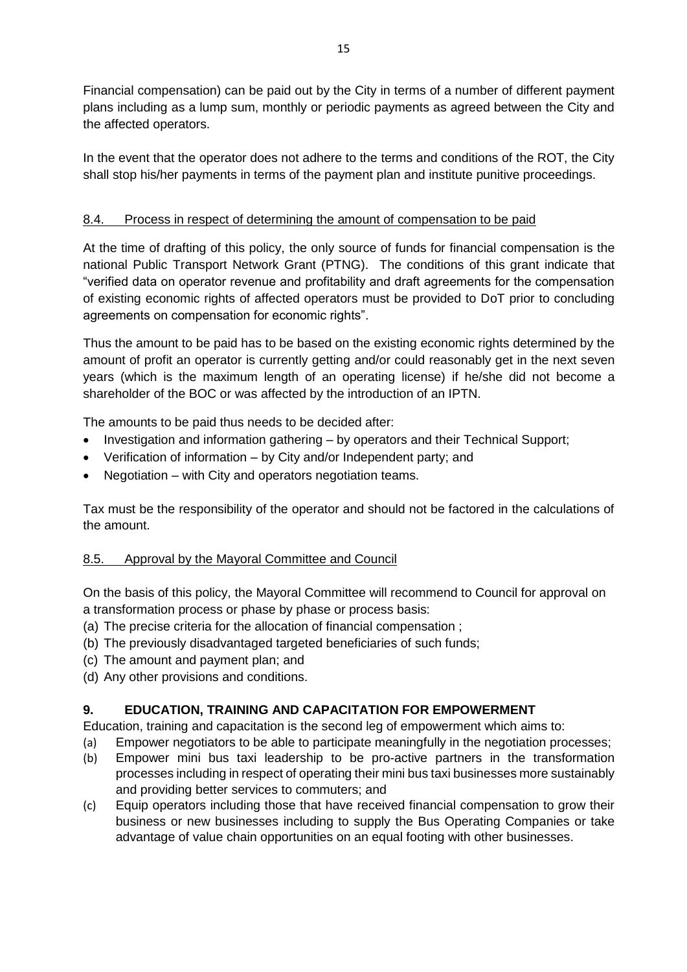Financial compensation) can be paid out by the City in terms of a number of different payment plans including as a lump sum, monthly or periodic payments as agreed between the City and the affected operators.

In the event that the operator does not adhere to the terms and conditions of the ROT, the City shall stop his/her payments in terms of the payment plan and institute punitive proceedings.

# 8.4. Process in respect of determining the amount of compensation to be paid

At the time of drafting of this policy, the only source of funds for financial compensation is the national Public Transport Network Grant (PTNG). The conditions of this grant indicate that "verified data on operator revenue and profitability and draft agreements for the compensation of existing economic rights of affected operators must be provided to DoT prior to concluding agreements on compensation for economic rights".

Thus the amount to be paid has to be based on the existing economic rights determined by the amount of profit an operator is currently getting and/or could reasonably get in the next seven years (which is the maximum length of an operating license) if he/she did not become a shareholder of the BOC or was affected by the introduction of an IPTN.

The amounts to be paid thus needs to be decided after:

- Investigation and information gathering by operators and their Technical Support;
- Verification of information by City and/or Independent party; and
- Negotiation with City and operators negotiation teams.

Tax must be the responsibility of the operator and should not be factored in the calculations of the amount.

# 8.5. Approval by the Mayoral Committee and Council

On the basis of this policy, the Mayoral Committee will recommend to Council for approval on a transformation process or phase by phase or process basis:

- (a) The precise criteria for the allocation of financial compensation ;
- (b) The previously disadvantaged targeted beneficiaries of such funds;
- (c) The amount and payment plan; and
- (d) Any other provisions and conditions.

# **9. EDUCATION, TRAINING AND CAPACITATION FOR EMPOWERMENT**

Education, training and capacitation is the second leg of empowerment which aims to:

- (a) Empower negotiators to be able to participate meaningfully in the negotiation processes;
- (b) Empower mini bus taxi leadership to be pro-active partners in the transformation processes including in respect of operating their mini bus taxi businesses more sustainably and providing better services to commuters; and
- (c) Equip operators including those that have received financial compensation to grow their business or new businesses including to supply the Bus Operating Companies or take advantage of value chain opportunities on an equal footing with other businesses.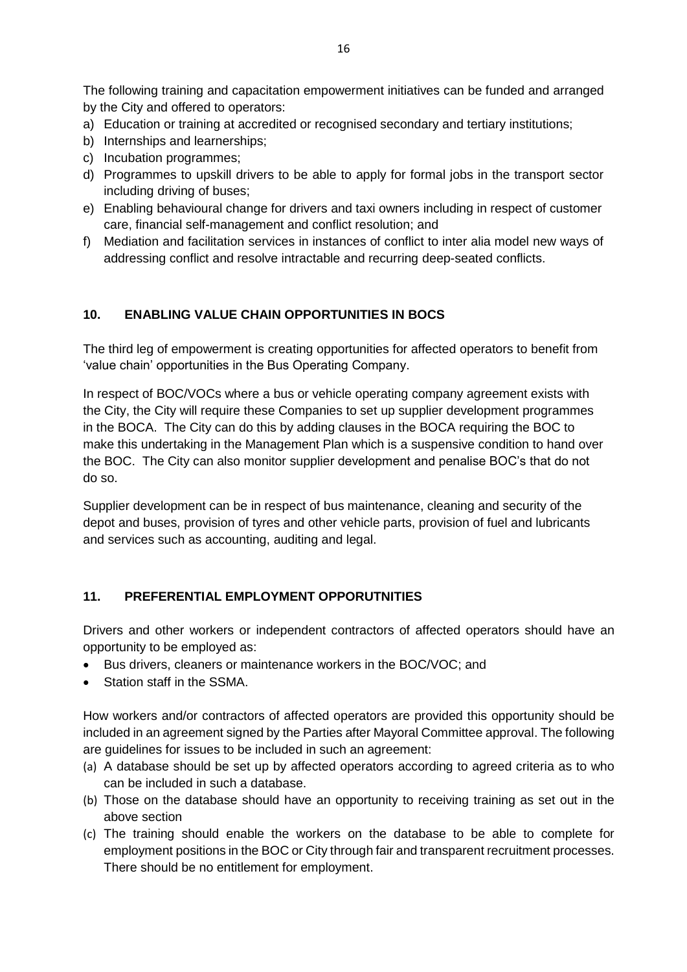The following training and capacitation empowerment initiatives can be funded and arranged by the City and offered to operators:

- a) Education or training at accredited or recognised secondary and tertiary institutions;
- b) Internships and learnerships;
- c) Incubation programmes;
- d) Programmes to upskill drivers to be able to apply for formal jobs in the transport sector including driving of buses;
- e) Enabling behavioural change for drivers and taxi owners including in respect of customer care, financial self-management and conflict resolution; and
- f) Mediation and facilitation services in instances of conflict to inter alia model new ways of addressing conflict and resolve intractable and recurring deep-seated conflicts.

### **10. ENABLING VALUE CHAIN OPPORTUNITIES IN BOCS**

The third leg of empowerment is creating opportunities for affected operators to benefit from 'value chain' opportunities in the Bus Operating Company.

In respect of BOC/VOCs where a bus or vehicle operating company agreement exists with the City, the City will require these Companies to set up supplier development programmes in the BOCA. The City can do this by adding clauses in the BOCA requiring the BOC to make this undertaking in the Management Plan which is a suspensive condition to hand over the BOC. The City can also monitor supplier development and penalise BOC's that do not do so.

Supplier development can be in respect of bus maintenance, cleaning and security of the depot and buses, provision of tyres and other vehicle parts, provision of fuel and lubricants and services such as accounting, auditing and legal.

# **11. PREFERENTIAL EMPLOYMENT OPPORUTNITIES**

Drivers and other workers or independent contractors of affected operators should have an opportunity to be employed as:

- Bus drivers, cleaners or maintenance workers in the BOC/VOC; and
- Station staff in the SSMA.

How workers and/or contractors of affected operators are provided this opportunity should be included in an agreement signed by the Parties after Mayoral Committee approval. The following are guidelines for issues to be included in such an agreement:

- (a) A database should be set up by affected operators according to agreed criteria as to who can be included in such a database.
- (b) Those on the database should have an opportunity to receiving training as set out in the above section
- (c) The training should enable the workers on the database to be able to complete for employment positions in the BOC or City through fair and transparent recruitment processes. There should be no entitlement for employment.